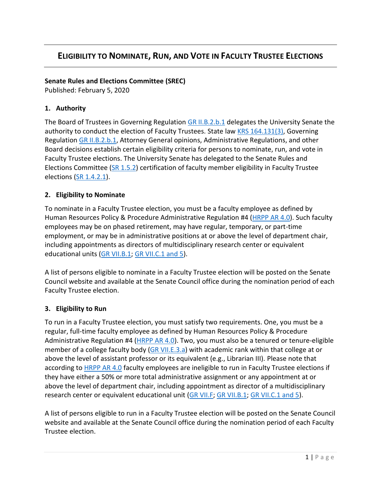# **ELIGIBILITY TO NOMINATE, RUN, AND VOTE IN FACULTY TRUSTEE ELECTIONS**

#### **Senate Rules and Elections Committee (SREC)**

Published: February 5, 2020

#### **1. Authority**

The Board of Trustees in Governing Regulation [GR II.B.2.b.1](https://www.uky.edu/regs/sites/www.uky.edu.regs/files/files/gr/gr2.pdf) delegates the University Senate the authority to conduct the election of Faculty Trustees. State law [KRS 164.131\(3\),](https://apps.legislature.ky.gov/law/statutes/statute.aspx?id=45572) Governing Regulation [GR II.B.2.b.1,](https://www.uky.edu/regs/sites/www.uky.edu.regs/files/files/gr/gr2.pdf) Attorney General opinions, Administrative Regulations, and other Board decisions establish certain eligibility criteria for persons to nominate, run, and vote in Faculty Trustee elections. The University Senate has delegated to the Senate Rules and Elections Committee [\(SR 1.5.2\)](https://drive.google.com/file/d/1VChI9QJ66y-ihkMv2N6Tm6LBPjERO-a1/view?usp=sharing) certification of faculty member eligibility in Faculty Trustee elections [\(SR 1.4.2.1\)](https://drive.google.com/file/d/1VJ2ji9D95oOpFvNTUmoiEGdlstf22PZB/view?usp=sharing).

#### **2. Eligibility to Nominate**

To nominate in a Faculty Trustee election, you must be a faculty employee as defined by Human Resources Policy & Procedure Administrative Regulation #4 [\(HRPP AR 4.0\)](https://www.uky.edu/hr/policies/employee-status). Such faculty employees may be on phased retirement, may have regular, temporary, or part-time employment, or may be in administrative positions at or above the level of department chair, including appointments as directors of multidisciplinary research center or equivalent educational units [\(GR VII.B.1; GR VII.C.1 and 5\)](http://www.uky.edu/regs/sites/www.uky.edu.regs/files/files/gr/gr7.pdf).

A list of persons eligible to nominate in a Faculty Trustee election will be posted on the Senate Council website and available at the Senate Council office during the nomination period of each Faculty Trustee election.

### **3. Eligibility to Run**

To run in a Faculty Trustee election, you must satisfy two requirements. One, you must be a regular, full-time faculty employee as defined by Human Resources Policy & Procedure Administrative Regulation #4 [\(HRPP AR 4.0\)](https://www.uky.edu/hr/policies/employee-status). Two, you must also be a tenured or tenure-eligible member of a college faculty body [\(GR VII.E.3.a\)](https://www.uky.edu/regs/sites/www.uky.edu.regs/files/files/gr/gr7.pdf) with academic rank within that college at or above the level of assistant professor or its equivalent (e.g., Librarian III). Please note that according to **HRPP AR 4.0** faculty employees are ineligible to run in Faculty Trustee elections if they have either a 50% or more total administrative assignment or any appointment at or above the level of department chair, including appointment as director of a multidisciplinary research center or equivalent educational unit [\(GR VII.F; GR VII.B.1; GR VII.C.1 and 5\)](http://www.uky.edu/regs/sites/www.uky.edu.regs/files/files/gr/gr7.pdf).

A list of persons eligible to run in a Faculty Trustee election will be posted on the Senate Council website and available at the Senate Council office during the nomination period of each Faculty Trustee election.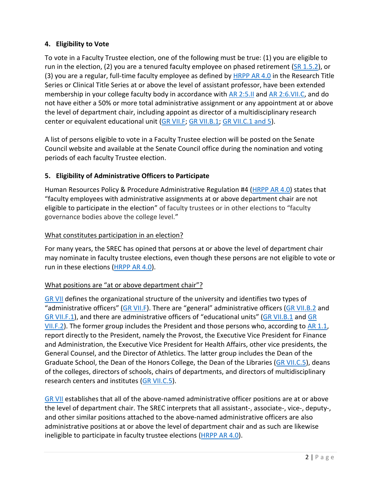# **4. Eligibility to Vote**

To vote in a Faculty Trustee election, one of the following must be true: (1) you are eligible to run in the election, (2) you are a tenured faculty employee on phased retirement [\(SR 1.5.2\)](https://drive.google.com/file/d/1VChI9QJ66y-ihkMv2N6Tm6LBPjERO-a1/view?usp=sharing), or (3) you are a regular, full-time faculty employee as defined by  $HRPP AR 4.0$  in the Research Title Series or Clinical Title Series at or above the level of assistant professor, have been extended membership in your college faculty body in accordance with [AR 2:5.II](https://www.uky.edu/regs/sites/www.uky.edu.regs/files/files/ar/ar2-5.pdf) and [AR 2:6.VII.C,](https://www.uky.edu/regs/sites/www.uky.edu.regs/files/files/ar/ar2-6.pdf) and do not have either a 50% or more total administrative assignment or any appointment at or above the level of department chair, including appoint as director of a multidisciplinary research center or equivalent educational unit [\(GR VII.F; GR VII.B.1; GR VII.C.1 and 5\)](http://www.uky.edu/regs/sites/www.uky.edu.regs/files/files/gr/gr7.pdf).

A list of persons eligible to vote in a Faculty Trustee election will be posted on the Senate Council website and available at the Senate Council office during the nomination and voting periods of each faculty Trustee election.

### **5. Eligibility of Administrative Officers to Participate**

Human Resources Policy & Procedure Administrative Regulation #4 [\(HRPP AR 4.0\)](https://www.uky.edu/hr/policies/employee-status) states that "faculty employees with administrative assignments at or above department chair are not eligible to participate in the election" of faculty trustees or in other elections to "faculty governance bodies above the college level."

### What constitutes participation in an election?

For many years, the SREC has opined that persons at or above the level of department chair may nominate in faculty trustee elections, even though these persons are not eligible to vote or run in these elections [\(HRPP AR 4.0\)](https://www.uky.edu/hr/policies/employee-status).

# What positions are "at or above department chair"?

[GR VII](http://www.uky.edu/regs/sites/www.uky.edu.regs/files/files/gr/gr7.pdf) defines the organizational structure of the university and identifies two types of "administrative officers" ([GR VII.F\)](http://www.uky.edu/regs/sites/www.uky.edu.regs/files/files/gr/gr7.pdf). There are "general" administrative officers [\(GR VII.B.2](http://www.uky.edu/regs/sites/www.uky.edu.regs/files/files/gr/gr7.pdf) and [GR VII.F.1\)](http://www.uky.edu/regs/sites/www.uky.edu.regs/files/files/gr/gr7.pdf), and there are administrative officers of "educational units" ([GR VII.B.1](http://www.uky.edu/regs/sites/www.uky.edu.regs/files/files/gr/gr7.pdf) and GR [VII.F.2\)](http://www.uky.edu/regs/sites/www.uky.edu.regs/files/files/gr/gr7.pdf). The former group includes the President and those persons who, according to [AR 1.1,](https://www.uky.edu/regs/sites/www.uky.edu.regs/files/files/ar/AR1-1_FINAL_Admin_Org_2017-10-13.pdf) report directly to the President, namely the Provost, the Executive Vice President for Finance and Administration, the Executive Vice President for Health Affairs, other vice presidents, the General Counsel, and the Director of Athletics. The latter group includes the Dean of the Graduate School, the Dean of the Honors College, the Dean of the Libraries [\(GR VII.C.5\)](http://www.uky.edu/regs/sites/www.uky.edu.regs/files/files/gr/gr7.pdf), deans of the colleges, directors of schools, chairs of departments, and directors of multidisciplinary research centers and institutes [\(GR VII.C.5\)](http://www.uky.edu/regs/sites/www.uky.edu.regs/files/files/gr/gr7.pdf).

[GR VII](http://www.uky.edu/regs/sites/www.uky.edu.regs/files/files/gr/gr7.pdf) establishes that all of the above-named administrative officer positions are at or above the level of department chair. The SREC interprets that all assistant-, associate-, vice-, deputy-, and other similar positions attached to the above-named administrative officers are also administrative positions at or above the level of department chair and as such are likewise ineligible to participate in faculty trustee elections [\(HRPP AR 4.0\)](https://www.uky.edu/hr/policies/employee-status).